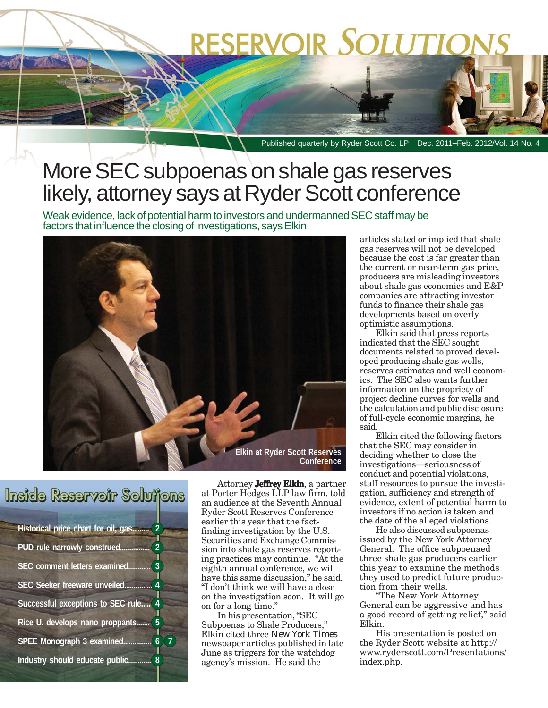# **RESERVOIR SOLUTIC**

Published quarterly by Ryder Scott Co. LP Dec. 2011–Feb. 2012/Vol. 14 No. 4

#### More SEC subpoenas on shale gas reserves likely, attorney says at Ryder Scott conference

Weak evidence, lack of potential harm to investors and undermanned SEC staff may be factors that influence the closing of investigations, says Elkin



#### Inside Reservoir Soluijons

**Historical price chart for oil, gas......... 2 PUD rule narrowly construed. SEC comment letters examined... SEC Seeker freeware unveiled... Successful exceptions to SEC rule..... 4 Rice U. develops nano proppants....... 5 SPEE Monograph 3 examined............... 6 7 Industry should educate public............ 8**

Attorney **Jeffrey Elkin**, a partner at Porter Hedges LLP law firm, told an audience at the Seventh Annual Ryder Scott Reserves Conference earlier this year that the factfinding investigation by the U.S. Securities and Exchange Commission into shale gas reserves reporting practices may continue. "At the eighth annual conference, we will have this same discussion," he said. "I don't think we will have a close on the investigation soon. It will go on for a long time."

In his presentation, "SEC Subpoenas to Shale Producers," Elkin cited three *New York Times* newspaper articles published in late June as triggers for the watchdog agency's mission. He said the

articles stated or implied that shale gas reserves will not be developed because the cost is far greater than the current or near-term gas price, producers are misleading investors about shale gas economics and E&P companies are attracting investor funds to finance their shale gas developments based on overly optimistic assumptions.

Elkin said that press reports indicated that the SEC sought documents related to proved developed producing shale gas wells, reserves estimates and well economics. The SEC also wants further information on the propriety of project decline curves for wells and the calculation and public disclosure of full-cycle economic margins, he said.

Elkin cited the following factors that the SEC may consider in deciding whether to close the investigations—seriousness of conduct and potential violations, staff resources to pursue the investigation, sufficiency and strength of evidence, extent of potential harm to investors if no action is taken and the date of the alleged violations.

He also discussed subpoenas issued by the New York Attorney General. The office subpoenaed three shale gas producers earlier this year to examine the methods they used to predict future production from their wells.

"The New York Attorney General can be aggressive and has a good record of getting relief," said Elkin.

His presentation is posted on the Ryder Scott website at http:// www.ryderscott.com/Presentations/ index.php.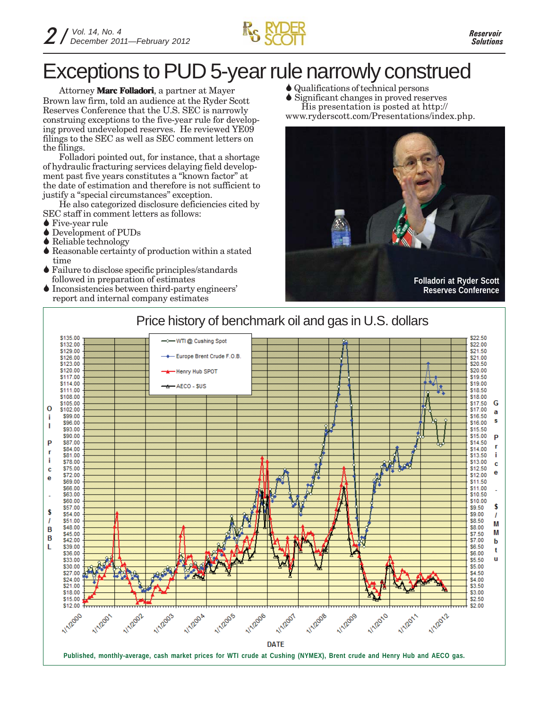

## Exceptions to PUD 5-year rule narrowly construed

Attorney **Marc Folladori**, a partner at Mayer Brown law firm, told an audience at the Ryder Scott Reserves Conference that the U.S. SEC is narrowly construing exceptions to the five-year rule for developing proved undeveloped reserves. He reviewed YE09 filings to the SEC as well as SEC comment letters on the filings.

Folladori pointed out, for instance, that a shortage of hydraulic fracturing services delaying field development past five years constitutes a "known factor" at the date of estimation and therefore is not sufficient to justify a "special circumstances" exception.

He also categorized disclosure deficiencies cited by SEC staff in comment letters as follows:

- **◆ Five-year rule**
- Development of PUDs
- **◆ Reliable technology**
- $\blacklozenge$  Reasonable certainty of production within a stated time
- Failure to disclose specific principles/standards followed in preparation of estimates
- Inconsistencies between third-party engineers' report and internal company estimates
- Qualifications of technical persons
- Significant changes in proved reserves His presentation is posted at http://

www.ryderscott.com/Presentations/index.php.



**Reserves Conference**

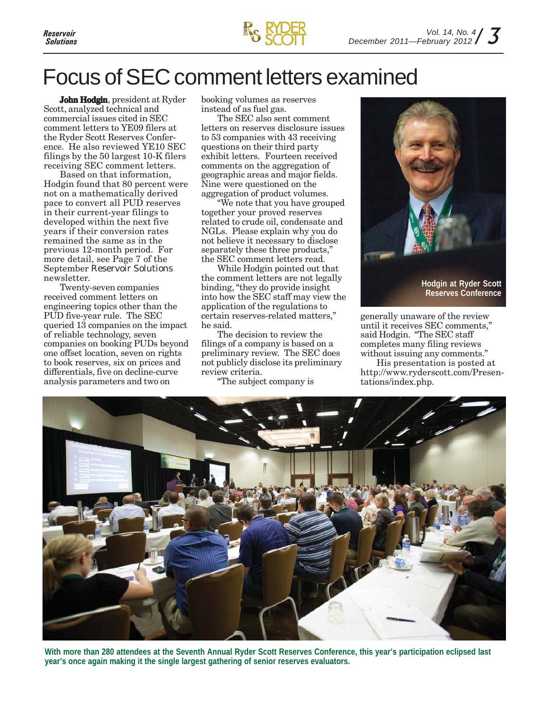

#### Focus of SEC comment letters examined

**John Hodgin**, president at Ryder Scott, analyzed technical and commercial issues cited in SEC comment letters to YE09 filers at the Ryder Scott Reserves Conference. He also reviewed YE10 SEC filings by the 50 largest 10-K filers receiving SEC comment letters.

Based on that information, Hodgin found that 80 percent were not on a mathematically derived pace to convert all PUD reserves in their current-year filings to developed within the next five years if their conversion rates remained the same as in the previous 12-month period. For more detail, see Page 7 of the September *Reservoir Solutions* newsletter.

Twenty-seven companies received comment letters on engineering topics other than the PUD five-year rule. The SEC queried 13 companies on the impact of reliable technology, seven companies on booking PUDs beyond one offset location, seven on rights to book reserves, six on prices and differentials, five on decline-curve analysis parameters and two on

booking volumes as reserves instead of as fuel gas.

The SEC also sent comment letters on reserves disclosure issues to 53 companies with 43 receiving questions on their third party exhibit letters. Fourteen received comments on the aggregation of geographic areas and major fields. Nine were questioned on the aggregation of product volumes.

"We note that you have grouped together your proved reserves related to crude oil, condensate and NGLs. Please explain why you do not believe it necessary to disclose separately these three products," the SEC comment letters read.

While Hodgin pointed out that the comment letters are not legally binding, "they do provide insight into how the SEC staff may view the application of the regulations to certain reserves-related matters," he said.

The decision to review the filings of a company is based on a preliminary review. The SEC does not publicly disclose its preliminary review criteria.

"The subject company is



generally unaware of the review until it receives SEC comments," said Hodgin. "The SEC staff completes many filing reviews without issuing any comments."

His presentation is posted at http://www.ryderscott.com/Presentations/index.php.



**With more than 280 attendees at the Seventh Annual Ryder Scott Reserves Conference, this year's participation eclipsed last year's once again making it the single largest gathering of senior reserves evaluators.**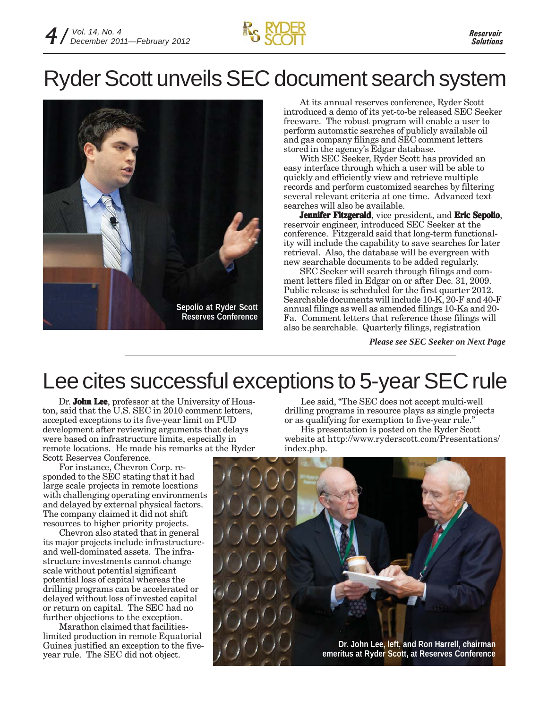

## Ryder Scott unveils SEC document search system



At its annual reserves conference, Ryder Scott introduced a demo of its yet-to-be released SEC Seeker freeware. The robust program will enable a user to perform automatic searches of publicly available oil and gas company filings and SEC comment letters stored in the agency's Edgar database.

With SEC Seeker, Ryder Scott has provided an easy interface through which a user will be able to quickly and efficiently view and retrieve multiple records and perform customized searches by filtering several relevant criteria at one time. Advanced text searches will also be available.

**Jennifer Fitzgerald**, vice president, and **Eric Sepolio**, reservoir engineer, introduced SEC Seeker at the conference. Fitzgerald said that long-term functionality will include the capability to save searches for later retrieval. Also, the database will be evergreen with new searchable documents to be added regularly.

SEC Seeker will search through filings and comment letters filed in Edgar on or after Dec. 31, 2009. Public release is scheduled for the first quarter 2012. Searchable documents will include 10-K, 20-F and 40-F annual filings as well as amended filings 10-Ka and 20- Fa. Comment letters that reference those filings will also be searchable. Quarterly filings, registration

*Please see SEC Seeker on Next Page*

#### Lee cites successful exceptions to 5-year SEC rule

Dr. **John Lee**, professor at the University of Houston, said that the U.S. SEC in 2010 comment letters, accepted exceptions to its five-year limit on PUD development after reviewing arguments that delays were based on infrastructure limits, especially in remote locations. He made his remarks at the Ryder Scott Reserves Conference.

For instance, Chevron Corp. responded to the SEC stating that it had large scale projects in remote locations with challenging operating environments and delayed by external physical factors. The company claimed it did not shift resources to higher priority projects.

Chevron also stated that in general its major projects include infrastructureand well-dominated assets. The infrastructure investments cannot change scale without potential significant potential loss of capital whereas the drilling programs can be accelerated or delayed without loss of invested capital or return on capital. The SEC had no further objections to the exception.

Marathon claimed that facilitieslimited production in remote Equatorial Guinea justified an exception to the fiveyear rule. The SEC did not object.

Lee said, "The SEC does not accept multi-well drilling programs in resource plays as single projects or as qualifying for exemption to five-year rule." His presentation is posted on the Ryder Scott website at http://www.ryderscott.com/Presentations/ index.php.

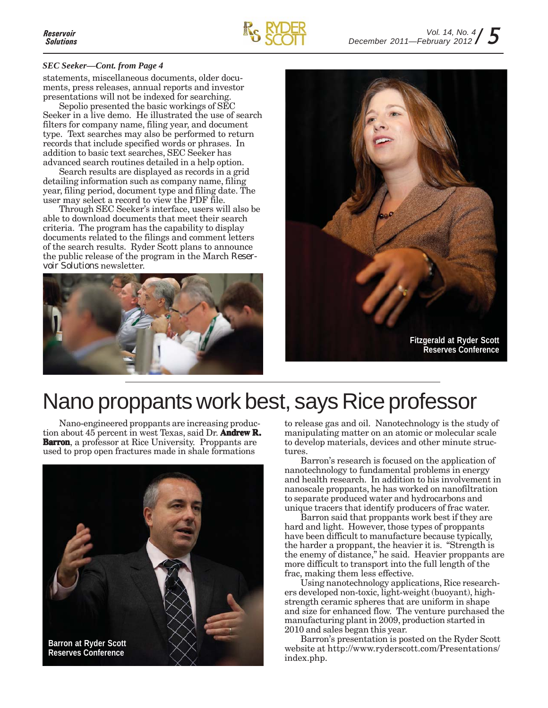#### *SEC Seeker—Cont. from Page 4*

statements, miscellaneous documents, older documents, press releases, annual reports and investor presentations will not be indexed for searching.

Sepolio presented the basic workings of SEC Seeker in a live demo. He illustrated the use of search filters for company name, filing year, and document type. Text searches may also be performed to return records that include specified words or phrases. In addition to basic text searches, SEC Seeker has advanced search routines detailed in a help option.

Search results are displayed as records in a grid detailing information such as company name, filing year, filing period, document type and filing date. The user may select a record to view the PDF file.

Through SEC Seeker's interface, users will also be able to download documents that meet their search criteria. The program has the capability to display documents related to the filings and comment letters of the search results. Ryder Scott plans to announce the public release of the program in the March *Reservoir Solutions* newsletter.





### Nano proppants work best, says Rice professor

Nano-engineered proppants are increasing production about 45 percent in west Texas, said Dr. **Andrew R. Andrew R. Barron**, a professor at Rice University. Proppants are used to prop open fractures made in shale formations



to release gas and oil. Nanotechnology is the study of manipulating matter on an atomic or molecular scale to develop materials, devices and other minute structures.

Barron's research is focused on the application of nanotechnology to fundamental problems in energy and health research. In addition to his involvement in nanoscale proppants, he has worked on nanofiltration to separate produced water and hydrocarbons and unique tracers that identify producers of frac water.

Barron said that proppants work best if they are hard and light. However, those types of proppants have been difficult to manufacture because typically, the harder a proppant, the heavier it is. "Strength is the enemy of distance," he said. Heavier proppants are more difficult to transport into the full length of the frac, making them less effective.

Using nanotechnology applications, Rice researchers developed non-toxic, light-weight (buoyant), highstrength ceramic spheres that are uniform in shape and size for enhanced flow. The venture purchased the manufacturing plant in 2009, production started in 2010 and sales began this year.

Barron's presentation is posted on the Ryder Scott website at http://www.ryderscott.com/Presentations/ index.php.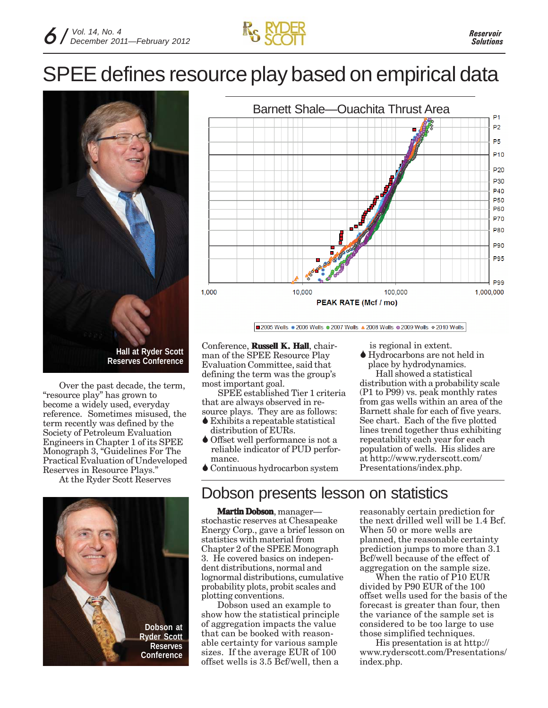# SPEE defines resource play based on empirical data



Over the past decade, the term, "resource play" has grown to become a widely used, everyday reference. Sometimes misused, the term recently was defined by the Society of Petroleum Evaluation Engineers in Chapter 1 of its SPEE Monograph 3, "Guidelines For The Practical Evaluation of Undeveloped Reserves in Resource Plays."

At the Ryder Scott Reserves



Barnett Shale—Ouachita Thrust Area  $P<sub>1</sub>$ P<sub>2</sub> P<sub>5</sub> P<sub>10</sub> P<sub>20</sub> P30 P40 P<sub>50</sub> P60 **P70 P80** P90 **P95 P99** 1,000 10,000 100,000 1,000,000 PEAK RATE (Mcf / mo)

2005 Wells . 2006 Wells . 2007 Wells . 2008 Wells . 2009 Wells . 2010 Wells

Conference, **Russell K. Hall**, chairman of the SPEE Resource Play Evaluation Committee, said that defining the term was the group's most important goal.

SPEE established Tier 1 criteria that are always observed in resource plays. They are as follows:

- Exhibits a repeatable statistical distribution of EURs.
- Offset well performance is not a reliable indicator of PUD perfor mance.
- Continuous hydrocarbon system

#### Dobson presents lesson on statistics

**Martin Dobson**, manager stochastic reserves at Chesapeake Energy Corp., gave a brief lesson on statistics with material from Chapter 2 of the SPEE Monograph 3. He covered basics on independent distributions, normal and lognormal distributions, cumulative probability plots, probit scales and plotting conventions.

Dobson used an example to show how the statistical principle of aggregation impacts the value that can be booked with reasonable certainty for various sample sizes. If the average EUR of 100 offset wells is 3.5 Bcf/well, then a

is regional in extent.

 Hydrocarbons are not held in place by hydrodynamics.

Hall showed a statistical distribution with a probability scale (P1 to P99) vs. peak monthly rates from gas wells within an area of the Barnett shale for each of five years. See chart. Each of the five plotted lines trend together thus exhibiting repeatability each year for each population of wells. His slides are at http://www.ryderscott.com/ Presentations/index.php.

reasonably certain prediction for the next drilled well will be 1.4 Bcf. When 50 or more wells are planned, the reasonable certainty prediction jumps to more than 3.1 Bcf/well because of the effect of aggregation on the sample size.

When the ratio of P10 EUR divided by P90 EUR of the 100 offset wells used for the basis of the forecast is greater than four, then the variance of the sample set is considered to be too large to use those simplified techniques.

His presentation is at http:// www.ryderscott.com/Presentations/ index.php.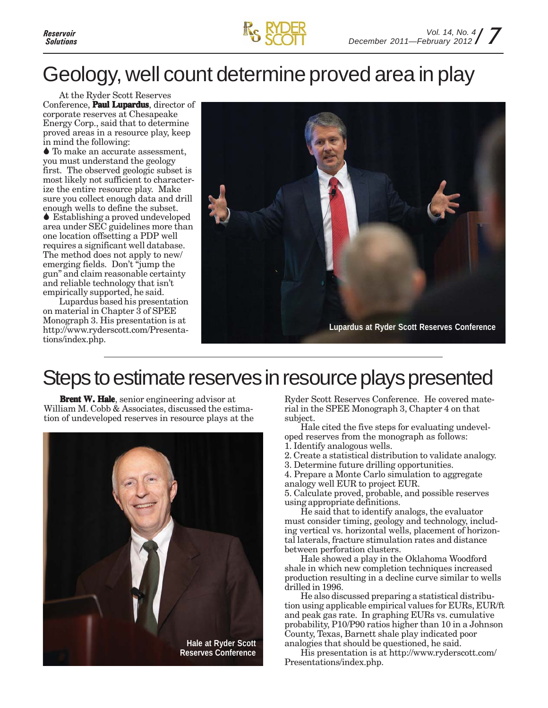

#### Geology, well count determine proved area in play

At the Ryder Scott Reserves Conference, **Paul Lupardus**, director of corporate reserves at Chesapeake Energy Corp., said that to determine proved areas in a resource play, keep in mind the following:

 To make an accurate assessment, you must understand the geology first. The observed geologic subset is most likely not sufficient to characterize the entire resource play. Make sure you collect enough data and drill enough wells to define the subset. Establishing a proved undeveloped area under SEC guidelines more than

one location offsetting a PDP well requires a significant well database. The method does not apply to new/ emerging fields. Don't "jump the gun" and claim reasonable certainty and reliable technology that isn't empirically supported, he said.

Lupardus based his presentation on material in Chapter 3 of SPEE Monograph 3. His presentation is at http://www.ryderscott.com/Presentations/index.php.



#### Steps to estimate reserves in resource plays presented

**Brent W. Hale**, senior engineering advisor at William M. Cobb & Associates, discussed the estimation of undeveloped reserves in resource plays at the



Ryder Scott Reserves Conference. He covered material in the SPEE Monograph 3, Chapter 4 on that subject.

Hale cited the five steps for evaluating undeveloped reserves from the monograph as follows:

- 1. Identify analogous wells.
- 2. Create a statistical distribution to validate analogy.
- 3. Determine future drilling opportunities.
- 4. Prepare a Monte Carlo simulation to aggregate analogy well EUR to project EUR.

5. Calculate proved, probable, and possible reserves using appropriate definitions.

He said that to identify analogs, the evaluator must consider timing, geology and technology, including vertical vs. horizontal wells, placement of horizontal laterals, fracture stimulation rates and distance between perforation clusters.

Hale showed a play in the Oklahoma Woodford shale in which new completion techniques increased production resulting in a decline curve similar to wells drilled in 1996.

He also discussed preparing a statistical distribution using applicable empirical values for EURs, EUR/ft and peak gas rate. In graphing EURs vs. cumulative probability, P10/P90 ratios higher than 10 in a Johnson County, Texas, Barnett shale play indicated poor analogies that should be questioned, he said.

His presentation is at http://www.ryderscott.com/ Presentations/index.php.